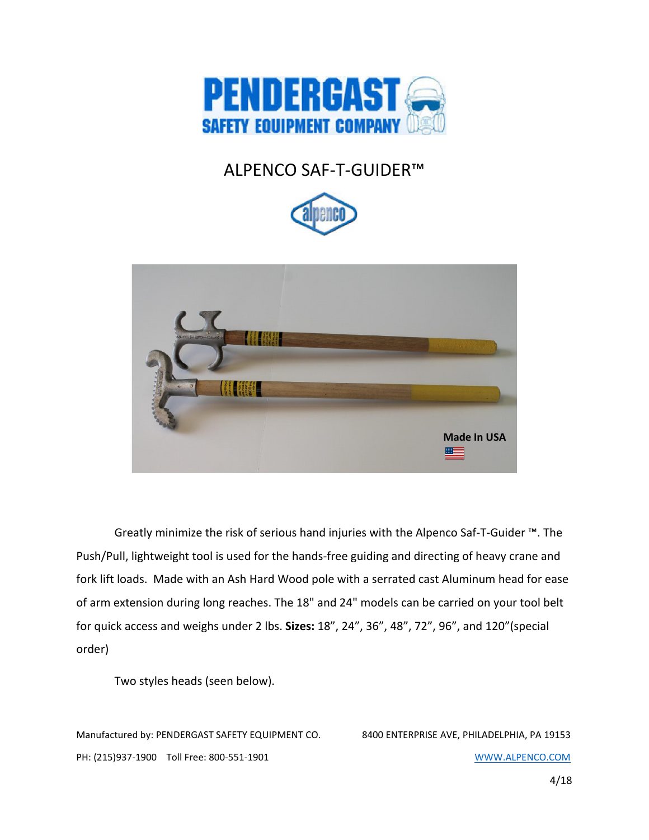

# ALPENCO SAF-T-GUIDER™





Greatly minimize the risk of serious hand injuries with the Alpenco Saf-T-Guider ™. The Push/Pull, lightweight tool is used for the hands-free guiding and directing of heavy crane and fork lift loads. Made with an Ash Hard Wood pole with a serrated cast Aluminum head for ease of arm extension during long reaches. The 18" and 24" models can be carried on your tool belt for quick access and weighs under 2 lbs. Sizes: 18", 24", 36", 48", 72", 96", and 120"(special order)

Two styles heads (seen below).

Manufactured by: PENDERGAST SAFETY EQUIPMENT CO. 8400 ENTERPRISE AVE, PHILADELPHIA, PA 19153 PH: (215)937-1900 Toll Free: 800-551-1901 WWW.ALPENCO.COM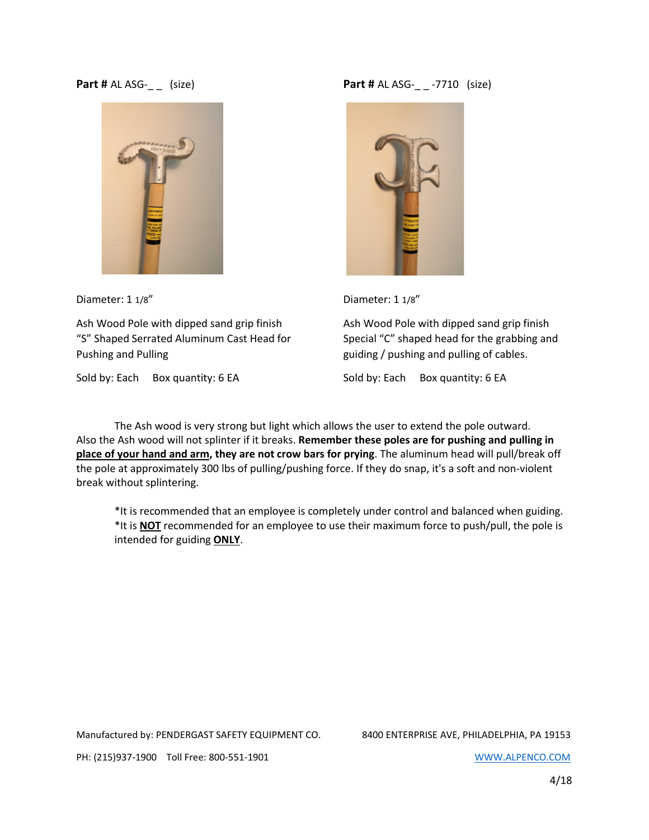#### Part # AL ASG-\_\_ (size)



Diameter: 1 1/8"

Ash Wood Pole with dipped sand grip finish "S" Shaped Serrated Aluminum Cast Head for Pushing and Pulling

Sold by: Each Box quantity: 6 EA

**Part # AL ASG-\_ \_ -7710 (size)** 



Diameter: 1 1/8"

Ash Wood Pole with dipped sand grip finish Special "C" shaped head for the grabbing and guiding / pushing and pulling of cables.

Sold by: Each Box quantity: 6 EA

The Ash wood is very strong but light which allows the user to extend the pole outward. Also the Ash wood will not splinter if it breaks. Remember these poles are for pushing and pulling in place of your hand and arm, they are not crow bars for prying. The aluminum head will pull/break off the pole at approximately 300 lbs of pulling/pushing force. If they do snap, it's a soft and non-violent break without splintering.

\*It is recommended that an employee is completely under control and balanced when guiding. \*It is NOT recommended for an employee to use their maximum force to push/pull, the pole is intended for guiding ONLY.

Manufactured by: PENDERGAST SAFETY EQUIPMENT CO. 8400 ENTERPRISE AVE, PHILADELPHIA, PA 19153

PH: (215)937-1900 Toll Free: 800-551-1901 WWW.ALPENCO.COM